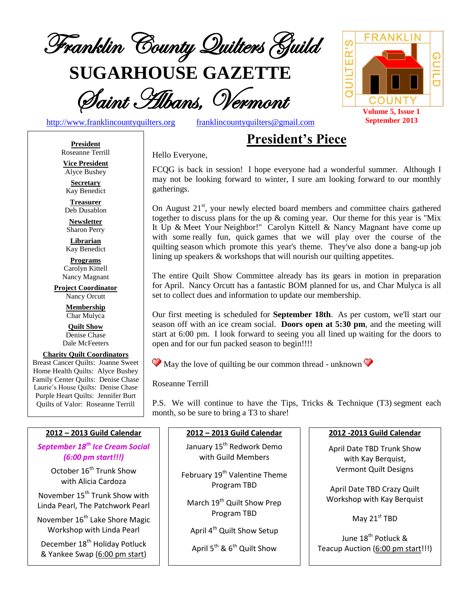

**SUGARHOUSE GAZETTE**



[http://www.franklincountyquilters.org](http://www.franklincountyquilters.org/) [franklincountyquilters@gmail.com](mailto:franklincountyquilters@gmail.com)

# **President's Piece**

**President** Roseanne Terrill **Vice President**

Alyce Bushey

**Secretary** Kay Benedict

**Treasurer** Deb Dusablon

**Newsletter** Sharon Perry

**Librarian** Kay Benedict

**Programs** Carolyn Kittell Nancy Magnant

**Project Coordinator** Nancy Orcutt

> **Membership** Char Mulyca

**Quilt Show** Denise Chase Dale McFeeters

**Charity Quilt Coordinators** Breast Cancer Quilts: Joanne Sweet Home Health Quilts: Alyce Bushey Family Center Quilts: Denise Chase Laurie's House Quilts: Denise Chase Purple Heart Quilts: Jennifer Burt Quilts of Valor: Roseanne Terrill

Hello Everyone,

FCQG is back in session! I hope everyone had a wonderful summer. Although I may not be looking forward to winter, I sure am looking forward to our monthly gatherings.

On August 21<sup>st</sup>, your newly elected board members and committee chairs gathered together to discuss plans for the up  $\&$  coming year. Our theme for this year is "Mix" It Up & Meet Your Neighbor!" Carolyn Kittell & Nancy Magnant have come up with some really fun, quick games that we will play over the course of the quilting season which promote this year's theme. They've also done a bang-up job lining up speakers & workshops that will nourish our quilting appetites.

The entire Quilt Show Committee already has its gears in motion in preparation for April. Nancy Orcutt has a fantastic BOM planned for us, and Char Mulyca is all set to collect dues and information to update our membership.

Our first meeting is scheduled for **September 18th**. As per custom, we'll start our season off with an ice cream social. **Doors open at 5:30 pm**, and the meeting will start at 6:00 pm. I look forward to seeing you all lined up waiting for the doors to open and for our fun packed season to begin!!!!

 $\bullet$  May the love of quilting be our common thread - unknown  $\bullet$ 

Roseanne Terrill

P.S. We will continue to have the Tips, Tricks & Technique (T3) segment each month, so be sure to bring a T3 to share!

#### **2012 – 2013 Guild Calendar**

*September 18th Ice Cream Social (6:00 pm start!!!)*

> October 16<sup>th</sup> Trunk Show with Alicia Cardoza

November 15<sup>th</sup> Trunk Show with Linda Pearl, The Patchwork Pearl

November 16<sup>th</sup> Lake Shore Magic Workshop with Linda Pearl

December 18<sup>th</sup> Holiday Potluck & Yankee Swap (6:00 pm start)

#### **2012 – 2013 Guild Calendar**

January 15<sup>th</sup> Redwork Demo with Guild Members

February 19<sup>th</sup> Valentine Theme Program TBD

March 19<sup>th</sup> Quilt Show Prep Program TBD

April 4<sup>th</sup> Quilt Show Setup

April 5 $^{\rm th}$  & 6 $^{\rm th}$  Quilt Show

#### **2012 -2013 Guild Calendar**

April Date TBD Trunk Show with Kay Berquist, Vermont Quilt Designs

April Date TBD Crazy Quilt Workshop with Kay Berquist

May  $21^{st}$  TBD

June 18<sup>th</sup> Potluck <mark>&</mark> Teacup Auction (6:00 pm start!!!)

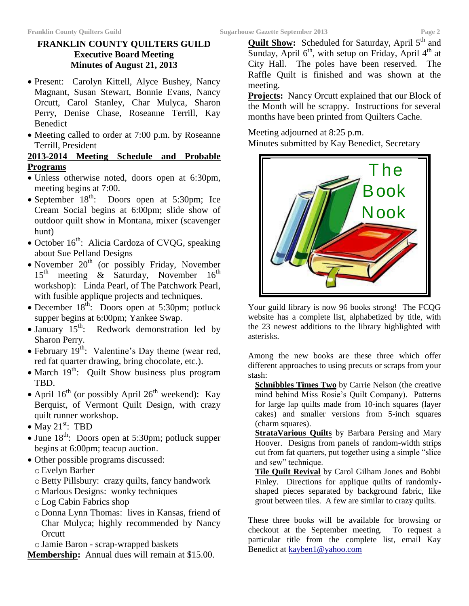# **FRANKLIN COUNTY QUILTERS GUILD Executive Board Meeting Minutes of August 21, 2013**

- Present: Carolyn Kittell, Alyce Bushey, Nancy Magnant, Susan Stewart, Bonnie Evans, Nancy Orcutt, Carol Stanley, Char Mulyca, Sharon Perry, Denise Chase, Roseanne Terrill, Kay Benedict
- Meeting called to order at 7:00 p.m. by Roseanne Terrill, President

# **2013-2014 Meeting Schedule and Probable Programs**

- Unless otherwise noted, doors open at 6:30pm, meeting begins at 7:00.
- September  $18^{th}$ : Doors open at 5:30pm; Ice Cream Social begins at 6:00pm; slide show of outdoor quilt show in Montana, mixer (scavenger hunt)
- $\bullet$  October 16<sup>th</sup>: Alicia Cardoza of CVQG, speaking about Sue Pelland Designs
- November  $20<sup>th</sup>$  (or possibly Friday, November  $15<sup>th</sup>$  meeting & Saturday, November  $16<sup>th</sup>$ workshop): Linda Pearl, of The Patchwork Pearl, with fusible applique projects and techniques.
- December  $18^{th}$ : Doors open at 5:30pm; potluck supper begins at 6:00pm; Yankee Swap.
- January  $15^{th}$ : Redwork demonstration led by Sharon Perry.
- February  $19<sup>th</sup>$ : Valentine's Day theme (wear red, red fat quarter drawing, bring chocolate, etc.).
- $\bullet$  March 19<sup>th</sup>: Quilt Show business plus program TBD.
- April  $16^{th}$  (or possibly April  $26^{th}$  weekend): Kay Berquist, of Vermont Quilt Design, with crazy quilt runner workshop.
- May  $21^{\text{st}}$ : TBD
- $\bullet$  June 18<sup>th</sup>: Doors open at 5:30pm; potluck supper begins at 6:00pm; teacup auction.
- Other possible programs discussed: oEvelyn Barber
	- oBetty Pillsbury: crazy quilts, fancy handwork
	- o Marlous Designs: wonky techniques
	- oLog Cabin Fabrics shop
	- o Donna Lynn Thomas: lives in Kansas, friend of Char Mulyca; highly recommended by Nancy **Orcutt**
	- oJamie Baron scrap-wrapped baskets
- **Membership:** Annual dues will remain at \$15.00.

**Quilt Show:** Scheduled for Saturday, April 5<sup>th</sup> and Sunday, April  $6<sup>th</sup>$ , with setup on Friday, April  $4<sup>th</sup>$  at City Hall. The poles have been reserved. The Raffle Quilt is finished and was shown at the meeting.

**Projects:** Nancy Orcutt explained that our Block of the Month will be scrappy. Instructions for several months have been printed from Quilters Cache.

Meeting adjourned at 8:25 p.m.

Minutes submitted by Kay Benedict, Secretary



Your guild library is now 96 books strong! The FCQG website has a complete list, alphabetized by title, with the 23 newest additions to the library highlighted with asterisks.

Among the new books are these three which offer different approaches to using precuts or scraps from your stash:

**Schnibbles Times Two** by Carrie Nelson (the creative mind behind Miss Rosie's Quilt Company). Patterns for large lap quilts made from 10-inch squares (layer cakes) and smaller versions from 5-inch squares (charm squares).

**StrataVarious Quilts** by Barbara Persing and Mary Hoover. Designs from panels of random-width strips cut from fat quarters, put together using a simple "slice and sew" technique.

**Tile Quilt Revival** by Carol Gilham Jones and Bobbi Finley. Directions for applique quilts of randomlyshaped pieces separated by background fabric, like grout between tiles. A few are similar to crazy quilts.

These three books will be available for browsing or checkout at the September meeting. To request a particular title from the complete list, email Kay Benedict at [kayben1@yahoo.com](mailto:kayben1@yahoo.com)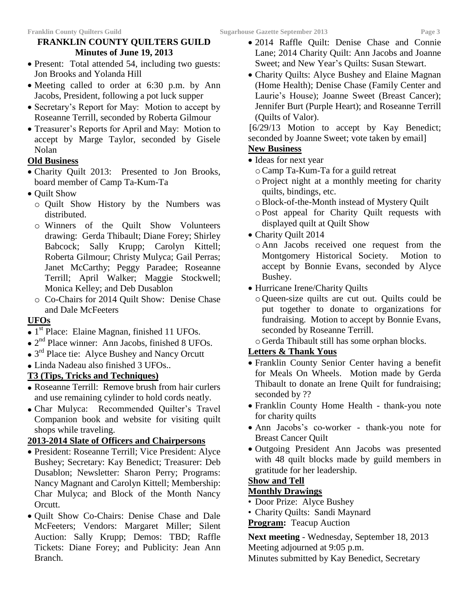# **FRANKLIN COUNTY QUILTERS GUILD Minutes of June 19, 2013**

- Present: Total attended 54, including two guests: Jon Brooks and Yolanda Hill
- Meeting called to order at 6:30 p.m. by Ann Jacobs, President, following a pot luck supper
- Secretary's Report for May: Motion to accept by Roseanne Terrill, seconded by Roberta Gilmour
- Treasurer's Reports for April and May: Motion to accept by Marge Taylor, seconded by Gisele Nolan

# **Old Business**

- Charity Quilt 2013: Presented to Jon Brooks, board member of Camp Ta-Kum-Ta
- Quilt Show
	- o Quilt Show History by the Numbers was distributed.
	- o Winners of the Quilt Show Volunteers drawing: Gerda Thibault; Diane Forey; Shirley Babcock; Sally Krupp; Carolyn Kittell; Roberta Gilmour; Christy Mulyca; Gail Perras; Janet McCarthy; Peggy Paradee; Roseanne Terrill; April Walker; Maggie Stockwell; Monica Kelley; and Deb Dusablon
	- o Co-Chairs for 2014 Quilt Show: Denise Chase and Dale McFeeters

# **UFOs**

- $\overline{\bullet}$  1<sup>st</sup> Place: Elaine Magnan, finished 11 UFOs.
- 2<sup>nd</sup> Place winner: Ann Jacobs, finished 8 UFOs.
- 3<sup>rd</sup> Place tie: Alyce Bushey and Nancy Orcutt
- Linda Nadeau also finished 3 UFOs..

#### **T3 (Tips, Tricks and Techniques)**

- Roseanne Terrill: Remove brush from hair curlers and use remaining cylinder to hold cords neatly.
- Char Mulyca: Recommended Quilter's Travel Companion book and website for visiting quilt shops while traveling.

# **2013-2014 Slate of Officers and Chairpersons**

- President: Roseanne Terrill; Vice President: Alyce Bushey; Secretary: Kay Benedict; Treasurer: Deb Dusablon; Newsletter: Sharon Perry; Programs: Nancy Magnant and Carolyn Kittell; Membership: Char Mulyca; and Block of the Month Nancy Orcutt.
- Quilt Show Co-Chairs: Denise Chase and Dale McFeeters; Vendors: Margaret Miller; Silent Auction: Sally Krupp; Demos: TBD; Raffle Tickets: Diane Forey; and Publicity: Jean Ann Branch.
- 2014 Raffle Quilt: Denise Chase and Connie Lane; 2014 Charity Quilt: Ann Jacobs and Joanne Sweet; and New Year's Quilts: Susan Stewart.
- Charity Quilts: Alyce Bushey and Elaine Magnan (Home Health); Denise Chase (Family Center and Laurie's House); Joanne Sweet (Breast Cancer); Jennifer Burt (Purple Heart); and Roseanne Terrill (Quilts of Valor).

 [6/29/13 Motion to accept by Kay Benedict; seconded by Joanne Sweet; vote taken by email]

# **New Business**

- Ideas for next year
	- oCamp Ta-Kum-Ta for a guild retreat
	- oProject night at a monthly meeting for charity quilts, bindings, etc.
	- oBlock-of-the-Month instead of Mystery Quilt
	- oPost appeal for Charity Quilt requests with displayed quilt at Quilt Show
- Charity Quilt 2014
	- o Ann Jacobs received one request from the Montgomery Historical Society. Motion to accept by Bonnie Evans, seconded by Alyce Bushey.
- Hurricane Irene/Charity Quilts
	- o Queen-size quilts are cut out. Quilts could be put together to donate to organizations for fundraising. Motion to accept by Bonnie Evans, seconded by Roseanne Terrill.
	- o Gerda Thibault still has some orphan blocks.

# **Letters & Thank Yous**

- Franklin County Senior Center having a benefit for Meals On Wheels. Motion made by Gerda Thibault to donate an Irene Quilt for fundraising; seconded by ??
- Franklin County Home Health thank-you note for charity quilts
- Ann Jacobs's co-worker thank-you note for Breast Cancer Quilt
- Outgoing President Ann Jacobs was presented with 48 quilt blocks made by guild members in gratitude for her leadership.

#### **Show and Tell**

#### **Monthly Drawings**

- Door Prize: Alyce Bushey
- Charity Quilts: Sandi Maynard

# **Program:** Teacup Auction

**Next meeting** - Wednesday, September 18, 2013 Meeting adjourned at 9:05 p.m. Minutes submitted by Kay Benedict, Secretary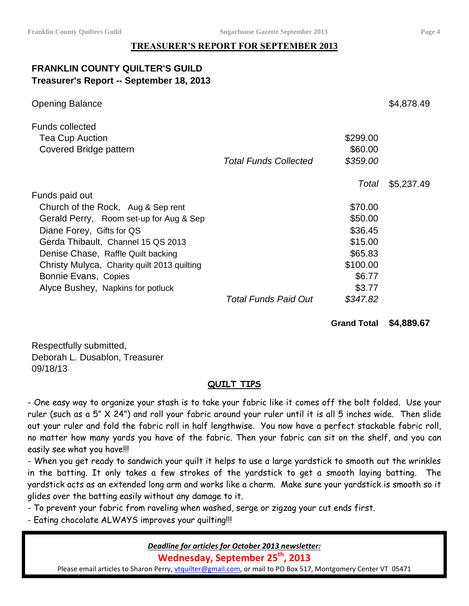# **TREASURER'S REPORT FOR SEPTEMBER 2013**

# **FRANKLIN COUNTY QUILTER'S GUILD Treasurer's Report -- September 18, 2013**

| <b>Opening Balance</b>                           |                              |          | \$4,878.49 |
|--------------------------------------------------|------------------------------|----------|------------|
| <b>Funds collected</b><br><b>Tea Cup Auction</b> |                              | \$299.00 |            |
| Covered Bridge pattern                           |                              | \$60.00  |            |
|                                                  | <b>Total Funds Collected</b> | \$359.00 |            |
|                                                  |                              | Total    | \$5,237.49 |
| Funds paid out                                   |                              |          |            |
| Church of the Rock, Aug & Sep rent               |                              | \$70.00  |            |
| Gerald Perry, Room set-up for Aug & Sep          |                              | \$50.00  |            |
| Diane Forey, Gifts for QS                        |                              | \$36.45  |            |
| Gerda Thibault, Channel 15 QS 2013               |                              | \$15.00  |            |
| Denise Chase, Raffle Quilt backing               |                              | \$65.83  |            |
| Christy Mulyca, Charity quilt 2013 quilting      |                              | \$100.00 |            |
| Bonnie Evans, Copies                             |                              | \$6.77   |            |
| Alyce Bushey, Napkins for potluck                |                              | \$3.77   |            |
|                                                  | <b>Total Funds Paid Out</b>  | \$347.82 |            |

#### **Grand Total \$4,889.67**

Respectfully submitted, Deborah L. Dusablon, Treasurer 09/18/13

#### **QUILT TIPS**

- One easy way to organize your stash is to take your fabric like it comes off the bolt folded. Use your ruler (such as a 5" X 24") and roll your fabric around your ruler until it is all 5 inches wide. Then slide out your ruler and fold the fabric roll in half lengthwise. You now have a perfect stackable fabric roll, no matter how many yards you have of the fabric. Then your fabric can sit on the shelf, and you can easily see what you have!!!

- When you get ready to sandwich your quilt it helps to use a large yardstick to smooth out the wrinkles in the batting. It only takes a few strokes of the yardstick to get a smooth laying batting. The yardstick acts as an extended long arm and works like a charm. Make sure your yardstick is smooth so it glides over the batting easily without any damage to it.

- To prevent your fabric from raveling when washed, serge or zigzag your cut ends first.

- Eating chocolate ALWAYS improves your quilting!!!

#### *Deadline for articles for October 2013 newsletter:*

**Wednesday, September 25 th, 2013**

Please email articles to Sharon Perry, [vtquilter@gmail.com,](mailto:vtquilter@gmail.com) or mail to PO Box 517, Montgomery Center VT 05471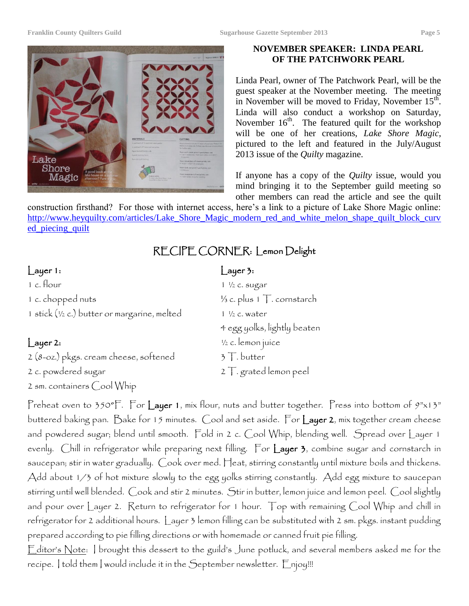

#### **NOVEMBER SPEAKER: LINDA PEARL OF THE PATCHWORK PEARL**

Linda Pearl, owner of The Patchwork Pearl, will be the guest speaker at the November meeting. The meeting in November will be moved to Friday, November  $15<sup>th</sup>$ . Linda will also conduct a workshop on Saturday, November  $16<sup>th</sup>$ . The featured quilt for the workshop will be one of her creations, *Lake Shore Magic*, pictured to the left and featured in the July/August 2013 issue of the *Quilty* magazine.

If anyone has a copy of the *Quilty* issue, would you mind bringing it to the September guild meeting so other members can read the article and see the quilt

construction firsthand? For those with internet access, here's a link to a picture of Lake Shore Magic online: [http://www.heyquilty.com/articles/Lake\\_Shore\\_Magic\\_modern\\_red\\_and\\_white\\_melon\\_shape\\_quilt\\_block\\_curv](http://www.heyquilty.com/articles/Lake_Shore_Magic_modern_red_and_white_melon_shape_quilt_block_curved_piecing_quilt) [ed\\_piecing\\_quilt](http://www.heyquilty.com/articles/Lake_Shore_Magic_modern_red_and_white_melon_shape_quilt_block_curved_piecing_quilt)

# RECIPE CORNER: Lemon Delight

# | ayer 1: Layer 3:

2 sm. containers Cool Whip

| 1 c. flour                                   | $1 \frac{1}{2}$ c. sugar              |
|----------------------------------------------|---------------------------------------|
| 1 c. chopped nuts                            | $\frac{1}{3}$ c. plus 1 T. cornstarch |
| 1 stick (1/2 c.) butter or margarine, melted | $1 \frac{1}{2}$ c. water              |
|                                              | 4 egg yolks, lightly beaten           |
| $L$ ayer 2:                                  | 1/2 c. lemon juice                    |
| 2 (8-oz.) pkgs. cream cheese, softened       | $3$ T. butter                         |
| 2 c. powdered sugar                          | $2$ T. grated lemon peel              |

Preheat oven to 350°F. For Layer 1, mix flour, nuts and butter together. Press into bottom of  $9" \times 13"$ buttered baking pan. Bake for 15 minutes. Cool and set aside. For Layer 2, mix together cream cheese and powdered sugar; blend until smooth. Fold in 2 c. Cool Whip, blending well. Spread over Layer 1 evenly. Chill in refrigerator while preparing next filling. For Layer 3, combine sugar and cornstarch in saucepan; stir in water gradually. Cook over med. Heat, stirring constantly until mixture boils and thickens. Add about 1/3 of hot mixture slowly to the egg yolks stirring constantly. Add egg mixture to saucepan stirring until well blended. Cook and stir 2 minutes. Stir in butter, lemon juice and lemon peel. Cool slightly and pour over Layer 2. Return to refrigerator for 1 hour. Top with remaining Cool Whip and chill in refrigerator for 2 additional hours. Layer 3 lemon filling can be substituted with 2 sm. pkgs. instant pudding prepared according to pie filling directions or with homemade or canned fruit pie filling.

Editor's Note: I brought this dessert to the guild's June potluck, and several members asked me for the recipe. I told them I would include it in the September newsletter. Enjoy!!!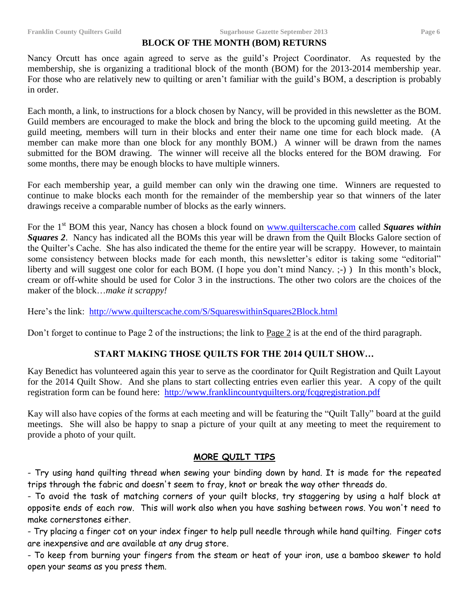#### **BLOCK OF THE MONTH (BOM) RETURNS**

Nancy Orcutt has once again agreed to serve as the guild's Project Coordinator. As requested by the membership, she is organizing a traditional block of the month (BOM) for the 2013-2014 membership year. For those who are relatively new to quilting or aren't familiar with the guild's BOM, a description is probably in order.

Each month, a link, to instructions for a block chosen by Nancy, will be provided in this newsletter as the BOM. Guild members are encouraged to make the block and bring the block to the upcoming guild meeting. At the guild meeting, members will turn in their blocks and enter their name one time for each block made. (A member can make more than one block for any monthly BOM.) A winner will be drawn from the names submitted for the BOM drawing. The winner will receive all the blocks entered for the BOM drawing. For some months, there may be enough blocks to have multiple winners.

For each membership year, a guild member can only win the drawing one time. Winners are requested to continue to make blocks each month for the remainder of the membership year so that winners of the later drawings receive a comparable number of blocks as the early winners.

For the 1<sup>st</sup> BOM this year, Nancy has chosen a block found on [www.quilterscache.com](http://www.quilterscache.com/) called *Squares within* **Squares 2.** Nancy has indicated all the BOMs this year will be drawn from the Quilt Blocks Galore section of the Quilter's Cache. She has also indicated the theme for the entire year will be scrappy. However, to maintain some consistency between blocks made for each month, this newsletter's editor is taking some "editorial" liberty and will suggest one color for each BOM. (I hope you don't mind Nancy.  $\div$ )) In this month's block, cream or off-white should be used for Color 3 in the instructions. The other two colors are the choices of the maker of the block…*make it scrappy!*

Here's the link: <http://www.quilterscache.com/S/SquareswithinSquares2Block.html>

Don't forget to continue to Page 2 of the instructions; the link to Page 2 is at the end of the third paragraph.

#### **START MAKING THOSE QUILTS FOR THE 2014 QUILT SHOW…**

Kay Benedict has volunteered again this year to serve as the coordinator for Quilt Registration and Quilt Layout for the 2014 Quilt Show. And she plans to start collecting entries even earlier this year. A copy of the quilt registration form can be found here: <http://www.franklincountyquilters.org/fcqgregistration.pdf>

Kay will also have copies of the forms at each meeting and will be featuring the "Quilt Tally" board at the guild meetings. She will also be happy to snap a picture of your quilt at any meeting to meet the requirement to provide a photo of your quilt.

#### **MORE QUILT TIPS**

- Try using hand quilting thread when sewing your binding down by hand. It is made for the repeated trips through the fabric and doesn't seem to fray, knot or break the way other threads do.

- To avoid the task of matching corners of your quilt blocks, try staggering by using a half block at opposite ends of each row. This will work also when you have sashing between rows. You won't need to make cornerstones either.

- Try placing a finger cot on your index finger to help pull needle through while hand quilting. Finger cots are inexpensive and are available at any drug store.

- To keep from burning your fingers from the steam or heat of your iron, use a bamboo skewer to hold open your seams as you press them.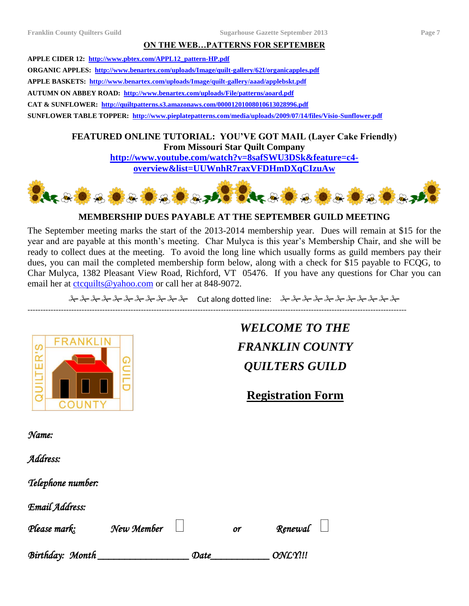#### **ON THE WEB…PATTERNS FOR SEPTEMBER**

**APPLE CIDER 12: [http://www.pbtex.com/APPL12\\_pattern-HP.pdf](http://www.pbtex.com/APPL12_pattern-HP.pdf) ORGANIC APPLES: <http://www.benartex.com/uploads/Image/quilt-gallery/62I/organicapples.pdf> APPLE BASKETS: <http://www.benartex.com/uploads/Image/quilt-gallery/aaad/applebskt.pdf> AUTUMN ON ABBEY ROAD: <http://www.benartex.com/uploads/File/patterns/aoard.pdf> CAT & SUNFLOWER:<http://quiltpatterns.s3.amazonaws.com/00001201008010613028996.pdf> SUNFLOWER TABLE TOPPER: <http://www.pieplatepatterns.com/media/uploads/2009/07/14/files/Visio-Sunflower.pdf>**

> **FEATURED ONLINE TUTORIAL: YOU'VE GOT MAIL (Layer Cake Friendly) From Missouri Star Quilt Company [http://www.youtube.com/watch?v=8safSWU3DSk&feature=c4-](http://www.youtube.com/watch?v=8safSWU3DSk&feature=c4-overview&list=UUWnhR7raxVFDHmDXqCIzuAw)**

**[overview&list=UUWnhR7raxVFDHmDXqCIzuAw](http://www.youtube.com/watch?v=8safSWU3DSk&feature=c4-overview&list=UUWnhR7raxVFDHmDXqCIzuAw)**



#### **MEMBERSHIP DUES PAYABLE AT THE SEPTEMBER GUILD MEETING**

The September meeting marks the start of the 2013-2014 membership year. Dues will remain at \$15 for the year and are payable at this month's meeting. Char Mulyca is this year's Membership Chair, and she will be ready to collect dues at the meeting. To avoid the long line which usually forms as guild members pay their dues, you can mail the completed membership form below, along with a check for \$15 payable to FCQG, to Char Mulyca, 1382 Pleasant View Road, Richford, VT 05476. If you have any questions for Char you can email her at [ctcquilts@yahoo.com](mailto:ctcquilts@yahoo.com) or call her at 848-9072.

 $\lambda\lambda\lambda\lambda\lambda\lambda\lambda\lambda\lambda$  Cut along dotted line:  $\lambda\lambda\lambda\lambda\lambda\lambda\lambda\lambda\lambda$ 

---------------------------------------------------------------------------------------------------------------------------------------------------



*WELCOME TO THE FRANKLIN COUNTY QUILTERS GUILD*

**Registration Form**

*Name:* 

*Address:* 

*Telephone number:* 

*Email Address:* 

| Please mark:    | New Member |      | or | Renewal $\Box$   |  |
|-----------------|------------|------|----|------------------|--|
| Birthday: Month |            | Date |    | ONL <sub>Y</sub> |  |